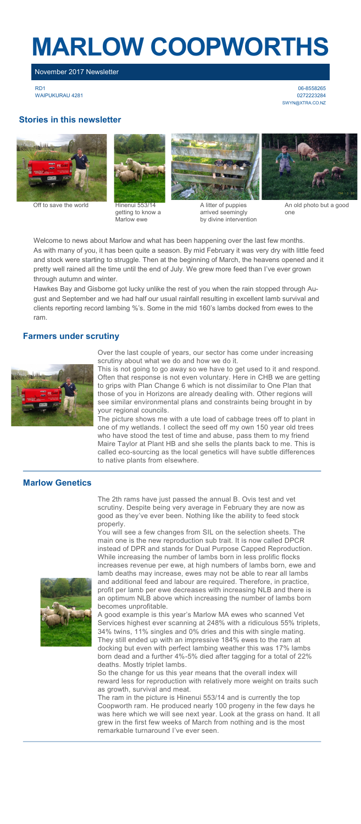# **MARLOW COOPWORTHS**

## November 2017 Newsletter

RD1 WAIPUKURAU 4281

06-8558265 0272223284 [SWYN@XTRA.CO.NZ](mailto:swyn@xtra.co.nz)

#### **Stories in this newsletter**



Off to save the world Hinenui 553/14



getting to know a Marlow ewe



A litter of puppies arrived seemingly by divine intervention



An old photo but a good one

Welcome to news about Marlow and what has been happening over the last few months. As with many of you, it has been quite a season. By mid February it was very dry with little feed and stock were starting to struggle. Then at the beginning of March, the heavens opened and it pretty well rained all the time until the end of July. We grew more feed than I've ever grown through autumn and winter.

Hawkes Bay and Gisborne got lucky unlike the rest of you when the rain stopped through August and September and we had half our usual rainfall resulting in excellent lamb survival and clients reporting record lambing %'s. Some in the mid 160's lambs docked from ewes to the ram.

#### **Farmers under scrutiny**



Over the last couple of years, our sector has come under increasing scrutiny about what we do and how we do it.

This is not going to go away so we have to get used to it and respond. Often that response is not even voluntary. Here in CHB we are getting to grips with Plan Change 6 which is not dissimilar to One Plan that those of you in Horizons are already dealing with. Other regions will see similar environmental plans and constraints being brought in by your regional councils.

.<br>The picture shows me with a ute load of cabbage trees off to plant in one of my wetlands. I collect the seed off my own 150 year old trees who have stood the test of time and abuse, pass them to my friend Maire Taylor at Plant HB and she sells the plants back to me. This is called eco-sourcing as the local genetics will have subtle differences to native plants from elsewhere.

#### **Marlow Genetics**

The 2th rams have just passed the annual B. Ovis test and vet scrutiny. Despite being very average in February they are now as good as they've ever been. Nothing like the ability to feed stock properly.

You will see a few changes from SIL on the selection sheets. The main one is the new reproduction sub trait. It is now called DPCR instead of DPR and stands for Dual Purpose Capped Reproduction. While increasing the number of lambs born in less prolific flocks increases revenue per ewe, at high numbers of lambs born, ewe and lamb deaths may increase, ewes may not be able to rear all lambs and additional feed and labour are required. Therefore, in practice, profit per lamb per ewe decreases with increasing NLB and there is an optimum NLB above which increasing the number of lambs born becomes unprofitable.

A good example is this year's Marlow MA ewes who scanned Vet Services highest ever scanning at 248% with a ridiculous 55% triplets, 34% twins, 11% singles and 0% dries and this with single mating. They still ended up with an impressive 184% ewes to the ram at docking but even with perfect lambing weather this was 17% lambs born dead and a further 4%-5% died after tagging for a total of 22% deaths. Mostly triplet lambs.

So the change for us this year means that the overall index will reward less for reproduction with relatively more weight on traits such as growth, survival and meat.

The ram in the picture is Hinenui 553/14 and is currently the top Coopworth ram. He produced nearly 100 progeny in the few days he was here which we will see next year. Look at the grass on hand. It all grew in the first few weeks of March from nothing and is the most remarkable turnaround I've ever seen.